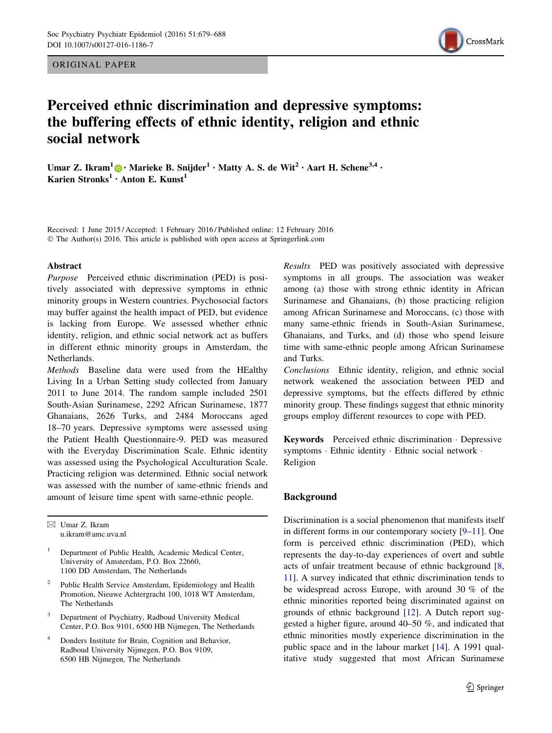ORIGINAL PAPER



# Perceived ethnic discrimination and depressive symptoms: the buffering effects of ethnic identity, religion and ethnic social network

Umar Z. Ikram<sup>1</sup> $\bigcirc$  [•](http://orcid.org/0000-0002-2240-153X) Marieke B. Snijder<sup>1</sup> • Matty A. S. de Wit<sup>2</sup> • Aart H. Schene<sup>3,4</sup> • Karien Stronks<sup>1</sup> • Anton E. Kunst<sup>1</sup>

Received: 1 June 2015 / Accepted: 1 February 2016 / Published online: 12 February 2016 © The Author(s) 2016. This article is published with open access at Springerlink.com

### Abstract

Purpose Perceived ethnic discrimination (PED) is positively associated with depressive symptoms in ethnic minority groups in Western countries. Psychosocial factors may buffer against the health impact of PED, but evidence is lacking from Europe. We assessed whether ethnic identity, religion, and ethnic social network act as buffers in different ethnic minority groups in Amsterdam, the Netherlands.

Methods Baseline data were used from the HEalthy Living In a Urban Setting study collected from January 2011 to June 2014. The random sample included 2501 South-Asian Surinamese, 2292 African Surinamese, 1877 Ghanaians, 2626 Turks, and 2484 Moroccans aged 18–70 years. Depressive symptoms were assessed using the Patient Health Questionnaire-9. PED was measured with the Everyday Discrimination Scale. Ethnic identity was assessed using the Psychological Acculturation Scale. Practicing religion was determined. Ethnic social network was assessed with the number of same-ethnic friends and amount of leisure time spent with same-ethnic people.

 $\boxtimes$  Umar Z. Ikram u.ikram@amc.uva.nl

<sup>1</sup> Department of Public Health, Academic Medical Center, University of Amsterdam, P.O. Box 22660, 1100 DD Amsterdam, The Netherlands

- <sup>2</sup> Public Health Service Amsterdam, Epidemiology and Health Promotion, Nieuwe Achtergracht 100, 1018 WT Amsterdam, The Netherlands
- Department of Psychiatry, Radboud University Medical Center, P.O. Box 9101, 6500 HB Nijmegen, The Netherlands
- <sup>4</sup> Donders Institute for Brain, Cognition and Behavior, Radboud University Nijmegen, P.O. Box 9109, 6500 HB Nijmegen, The Netherlands

Results PED was positively associated with depressive symptoms in all groups. The association was weaker among (a) those with strong ethnic identity in African Surinamese and Ghanaians, (b) those practicing religion among African Surinamese and Moroccans, (c) those with many same-ethnic friends in South-Asian Surinamese, Ghanaians, and Turks, and (d) those who spend leisure time with same-ethnic people among African Surinamese and Turks.

Conclusions Ethnic identity, religion, and ethnic social network weakened the association between PED and depressive symptoms, but the effects differed by ethnic minority group. These findings suggest that ethnic minority groups employ different resources to cope with PED.

Keywords Perceived ethnic discrimination - Depressive symptoms · Ethnic identity · Ethnic social network · Religion

# Background

Discrimination is a social phenomenon that manifests itself in different forms in our contemporary society [\[9–11](#page-8-0)]. One form is perceived ethnic discrimination (PED), which represents the day-to-day experiences of overt and subtle acts of unfair treatment because of ethnic background [[8,](#page-8-0) [11](#page-8-0)]. A survey indicated that ethnic discrimination tends to be widespread across Europe, with around 30 % of the ethnic minorities reported being discriminated against on grounds of ethnic background [[12\]](#page-8-0). A Dutch report suggested a higher figure, around 40–50 %, and indicated that ethnic minorities mostly experience discrimination in the public space and in the labour market [[14\]](#page-8-0). A 1991 qualitative study suggested that most African Surinamese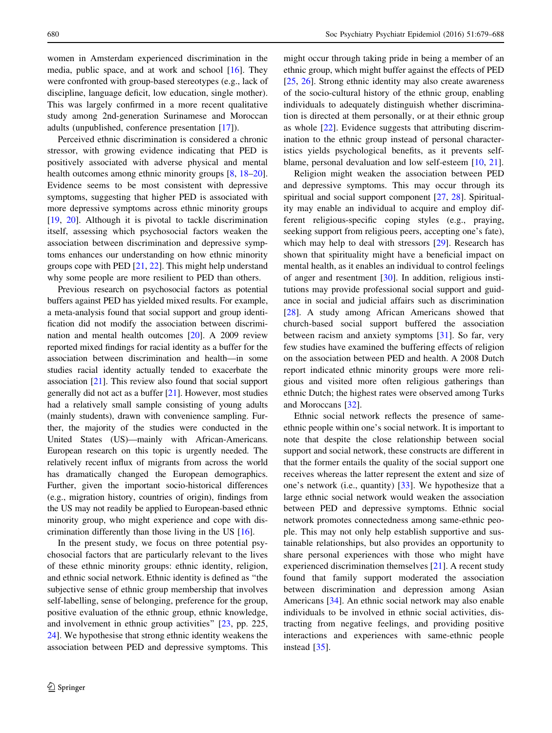women in Amsterdam experienced discrimination in the media, public space, and at work and school [\[16](#page-8-0)]. They were confronted with group-based stereotypes (e.g., lack of discipline, language deficit, low education, single mother). This was largely confirmed in a more recent qualitative study among 2nd-generation Surinamese and Moroccan adults (unpublished, conference presentation [\[17](#page-8-0)]).

Perceived ethnic discrimination is considered a chronic stressor, with growing evidence indicating that PED is positively associated with adverse physical and mental health outcomes among ethnic minority groups  $[8, 18-20]$  $[8, 18-20]$ . Evidence seems to be most consistent with depressive symptoms, suggesting that higher PED is associated with more depressive symptoms across ethnic minority groups [\[19](#page-8-0), [20\]](#page-8-0). Although it is pivotal to tackle discrimination itself, assessing which psychosocial factors weaken the association between discrimination and depressive symptoms enhances our understanding on how ethnic minority groups cope with PED [[21,](#page-8-0) [22](#page-8-0)]. This might help understand why some people are more resilient to PED than others.

Previous research on psychosocial factors as potential buffers against PED has yielded mixed results. For example, a meta-analysis found that social support and group identification did not modify the association between discrimination and mental health outcomes [[20](#page-8-0)]. A 2009 review reported mixed findings for racial identity as a buffer for the association between discrimination and health—in some studies racial identity actually tended to exacerbate the association [\[21\]](#page-8-0). This review also found that social support generally did not act as a buffer [\[21](#page-8-0)]. However, most studies had a relatively small sample consisting of young adults (mainly students), drawn with convenience sampling. Further, the majority of the studies were conducted in the United States (US)—mainly with African-Americans. European research on this topic is urgently needed. The relatively recent influx of migrants from across the world has dramatically changed the European demographics. Further, given the important socio-historical differences (e.g., migration history, countries of origin), findings from the US may not readily be applied to European-based ethnic minority group, who might experience and cope with discrimination differently than those living in the US [[16](#page-8-0)].

In the present study, we focus on three potential psychosocial factors that are particularly relevant to the lives of these ethnic minority groups: ethnic identity, religion, and ethnic social network. Ethnic identity is defined as ''the subjective sense of ethnic group membership that involves self-labelling, sense of belonging, preference for the group, positive evaluation of the ethnic group, ethnic knowledge, and involvement in ethnic group activities'' [\[23](#page-8-0), pp. 225, [24](#page-8-0)]. We hypothesise that strong ethnic identity weakens the association between PED and depressive symptoms. This might occur through taking pride in being a member of an ethnic group, which might buffer against the effects of PED [\[25](#page-8-0), [26](#page-8-0)]. Strong ethnic identity may also create awareness of the socio-cultural history of the ethnic group, enabling individuals to adequately distinguish whether discrimination is directed at them personally, or at their ethnic group as whole [\[22](#page-8-0)]. Evidence suggests that attributing discrimination to the ethnic group instead of personal characteristics yields psychological benefits, as it prevents selfblame, personal devaluation and low self-esteem [\[10](#page-8-0), [21\]](#page-8-0).

Religion might weaken the association between PED and depressive symptoms. This may occur through its spiritual and social support component [\[27](#page-8-0), [28](#page-8-0)]. Spirituality may enable an individual to acquire and employ different religious-specific coping styles (e.g., praying, seeking support from religious peers, accepting one's fate), which may help to deal with stressors [[29\]](#page-9-0). Research has shown that spirituality might have a beneficial impact on mental health, as it enables an individual to control feelings of anger and resentment [[30\]](#page-9-0). In addition, religious institutions may provide professional social support and guidance in social and judicial affairs such as discrimination [\[28](#page-8-0)]. A study among African Americans showed that church-based social support buffered the association between racism and anxiety symptoms [[31\]](#page-9-0). So far, very few studies have examined the buffering effects of religion on the association between PED and health. A 2008 Dutch report indicated ethnic minority groups were more religious and visited more often religious gatherings than ethnic Dutch; the highest rates were observed among Turks and Moroccans [[32\]](#page-9-0).

Ethnic social network reflects the presence of sameethnic people within one's social network. It is important to note that despite the close relationship between social support and social network, these constructs are different in that the former entails the quality of the social support one receives whereas the latter represent the extent and size of one's network (i.e., quantity) [[33\]](#page-9-0). We hypothesize that a large ethnic social network would weaken the association between PED and depressive symptoms. Ethnic social network promotes connectedness among same-ethnic people. This may not only help establish supportive and sustainable relationships, but also provides an opportunity to share personal experiences with those who might have experienced discrimination themselves [[21\]](#page-8-0). A recent study found that family support moderated the association between discrimination and depression among Asian Americans [[34\]](#page-9-0). An ethnic social network may also enable individuals to be involved in ethnic social activities, distracting from negative feelings, and providing positive interactions and experiences with same-ethnic people instead [\[35](#page-9-0)].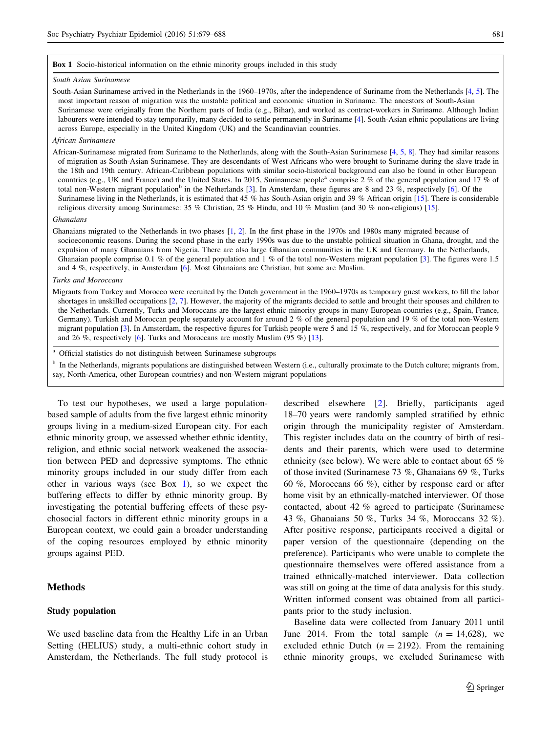#### Box 1 Socio-historical information on the ethnic minority groups included in this study

#### South Asian Surinamese

South-Asian Surinamese arrived in the Netherlands in the 1960–1970s, after the independence of Suriname from the Netherlands [\[4](#page-8-0), [5](#page-8-0)]. The most important reason of migration was the unstable political and economic situation in Suriname. The ancestors of South-Asian Surinamese were originally from the Northern parts of India (e.g., Bihar), and worked as contract-workers in Suriname. Although Indian labourers were intended to stay temporarily, many decided to settle permanently in Suriname [\[4\]](#page-8-0). South-Asian ethnic populations are living across Europe, especially in the United Kingdom (UK) and the Scandinavian countries.

#### African Surinamese

African-Surinamese migrated from Suriname to the Netherlands, along with the South-Asian Surinamese [\[4](#page-8-0), [5](#page-8-0), [8](#page-8-0)]. They had similar reasons of migration as South-Asian Surinamese. They are descendants of West Africans who were brought to Suriname during the slave trade in the 18th and 19th century. African-Caribbean populations with similar socio-historical background can also be found in other European countries (e.g., UK and France) and the United States. In 2015, Surinamese people<sup>a</sup> comprise 2 % of the general population and 17 % of total non-Western migrant population<sup>b</sup> in the Netherlands [\[3\]](#page-8-0). In Amsterdam, these figures are 8 and 23 %, respectively [\[6\]](#page-8-0). Of the Surinamese living in the Netherlands, it is estimated that 45 % has South-Asian origin and 39 % African origin [[15](#page-8-0)]. There is considerable religious diversity among Surinamese: 35 % Christian, 25 % Hindu, and 10 % Muslim (and 30 % non-religious) [\[15\]](#page-8-0).

#### Ghanaians

Ghanaians migrated to the Netherlands in two phases [\[1](#page-8-0), [2\]](#page-8-0). In the first phase in the 1970s and 1980s many migrated because of socioeconomic reasons. During the second phase in the early 1990s was due to the unstable political situation in Ghana, drought, and the expulsion of many Ghanaians from Nigeria. There are also large Ghanaian communities in the UK and Germany. In the Netherlands, Ghanaian people comprise 0.1 % of the general population and 1 % of the total non-Western migrant population [\[3](#page-8-0)]. The figures were 1.5 and 4 %, respectively, in Amsterdam [[6\]](#page-8-0). Most Ghanaians are Christian, but some are Muslim.

#### Turks and Moroccans

Migrants from Turkey and Morocco were recruited by the Dutch government in the 1960–1970s as temporary guest workers, to fill the labor shortages in unskilled occupations [\[2](#page-8-0), [7](#page-8-0)]. However, the majority of the migrants decided to settle and brought their spouses and children to the Netherlands. Currently, Turks and Moroccans are the largest ethnic minority groups in many European countries (e.g., Spain, France, Germany). Turkish and Moroccan people separately account for around 2 % of the general population and 19 % of the total non-Western migrant population [[3](#page-8-0)]. In Amsterdam, the respective figures for Turkish people were 5 and 15 %, respectively, and for Moroccan people 9 and 26 %, respectively [[6](#page-8-0)]. Turks and Moroccans are mostly Muslim (95 %) [[13](#page-8-0)].

<sup>a</sup> Official statistics do not distinguish between Surinamese subgroups

<sup>b</sup> In the Netherlands, migrants populations are distinguished between Western (i.e., culturally proximate to the Dutch culture; migrants from, say, North-America, other European countries) and non-Western migrant populations

To test our hypotheses, we used a large populationbased sample of adults from the five largest ethnic minority groups living in a medium-sized European city. For each ethnic minority group, we assessed whether ethnic identity, religion, and ethnic social network weakened the association between PED and depressive symptoms. The ethnic minority groups included in our study differ from each other in various ways (see Box 1), so we expect the buffering effects to differ by ethnic minority group. By investigating the potential buffering effects of these psychosocial factors in different ethnic minority groups in a European context, we could gain a broader understanding of the coping resources employed by ethnic minority groups against PED.

# Methods

## Study population

We used baseline data from the Healthy Life in an Urban Setting (HELIUS) study, a multi-ethnic cohort study in Amsterdam, the Netherlands. The full study protocol is described elsewhere [[2\]](#page-8-0). Briefly, participants aged 18–70 years were randomly sampled stratified by ethnic origin through the municipality register of Amsterdam. This register includes data on the country of birth of residents and their parents, which were used to determine ethnicity (see below). We were able to contact about 65 % of those invited (Surinamese 73 %, Ghanaians 69 %, Turks 60 %, Moroccans 66 %), either by response card or after home visit by an ethnically-matched interviewer. Of those contacted, about 42 % agreed to participate (Surinamese 43 %, Ghanaians 50 %, Turks 34 %, Moroccans 32 %). After positive response, participants received a digital or paper version of the questionnaire (depending on the preference). Participants who were unable to complete the questionnaire themselves were offered assistance from a trained ethnically-matched interviewer. Data collection was still on going at the time of data analysis for this study. Written informed consent was obtained from all participants prior to the study inclusion.

Baseline data were collected from January 2011 until June 2014. From the total sample  $(n = 14,628)$ , we excluded ethnic Dutch  $(n = 2192)$ . From the remaining ethnic minority groups, we excluded Surinamese with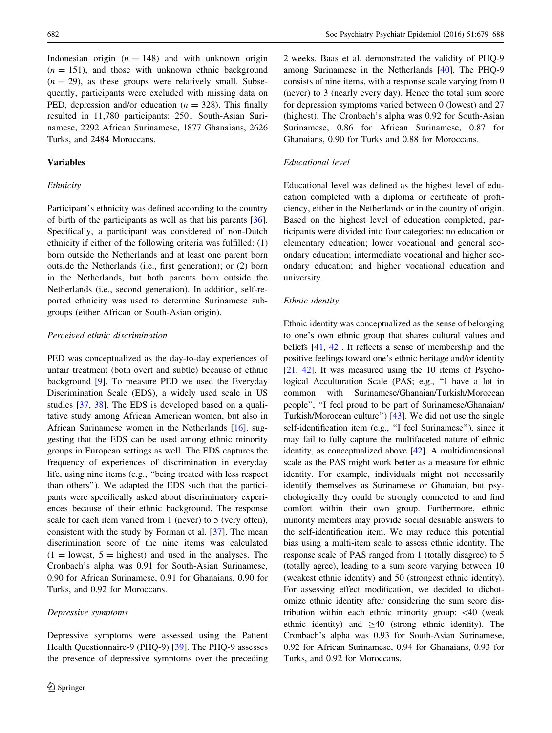Indonesian origin  $(n = 148)$  and with unknown origin  $(n = 151)$ , and those with unknown ethnic background  $(n = 29)$ , as these groups were relatively small. Subsequently, participants were excluded with missing data on PED, depression and/or education ( $n = 328$ ). This finally resulted in 11,780 participants: 2501 South-Asian Surinamese, 2292 African Surinamese, 1877 Ghanaians, 2626 Turks, and 2484 Moroccans.

## Variables

## Ethnicity

Participant's ethnicity was defined according to the country of birth of the participants as well as that his parents [\[36](#page-9-0)]. Specifically, a participant was considered of non-Dutch ethnicity if either of the following criteria was fulfilled: (1) born outside the Netherlands and at least one parent born outside the Netherlands (i.e., first generation); or (2) born in the Netherlands, but both parents born outside the Netherlands (i.e., second generation). In addition, self-reported ethnicity was used to determine Surinamese subgroups (either African or South-Asian origin).

## Perceived ethnic discrimination

PED was conceptualized as the day-to-day experiences of unfair treatment (both overt and subtle) because of ethnic background [[9\]](#page-8-0). To measure PED we used the Everyday Discrimination Scale (EDS), a widely used scale in US studies [[37,](#page-9-0) [38\]](#page-9-0). The EDS is developed based on a qualitative study among African American women, but also in African Surinamese women in the Netherlands [\[16](#page-8-0)], suggesting that the EDS can be used among ethnic minority groups in European settings as well. The EDS captures the frequency of experiences of discrimination in everyday life, using nine items (e.g., ''being treated with less respect than others''). We adapted the EDS such that the participants were specifically asked about discriminatory experiences because of their ethnic background. The response scale for each item varied from 1 (never) to 5 (very often), consistent with the study by Forman et al. [[37\]](#page-9-0). The mean discrimination score of the nine items was calculated  $(1 =$  lowest,  $5 =$  highest) and used in the analyses. The Cronbach's alpha was 0.91 for South-Asian Surinamese, 0.90 for African Surinamese, 0.91 for Ghanaians, 0.90 for Turks, and 0.92 for Moroccans.

#### Depressive symptoms

Depressive symptoms were assessed using the Patient Health Questionnaire-9 (PHQ-9) [[39\]](#page-9-0). The PHQ-9 assesses the presence of depressive symptoms over the preceding 2 weeks. Baas et al. demonstrated the validity of PHQ-9 among Surinamese in the Netherlands [\[40](#page-9-0)]. The PHQ-9 consists of nine items, with a response scale varying from 0 (never) to 3 (nearly every day). Hence the total sum score for depression symptoms varied between 0 (lowest) and 27 (highest). The Cronbach's alpha was 0.92 for South-Asian Surinamese, 0.86 for African Surinamese, 0.87 for Ghanaians, 0.90 for Turks and 0.88 for Moroccans.

## Educational level

Educational level was defined as the highest level of education completed with a diploma or certificate of proficiency, either in the Netherlands or in the country of origin. Based on the highest level of education completed, participants were divided into four categories: no education or elementary education; lower vocational and general secondary education; intermediate vocational and higher secondary education; and higher vocational education and university.

#### Ethnic identity

Ethnic identity was conceptualized as the sense of belonging to one's own ethnic group that shares cultural values and beliefs [\[41](#page-9-0), [42](#page-9-0)]. It reflects a sense of membership and the positive feelings toward one's ethnic heritage and/or identity [\[21](#page-8-0), [42\]](#page-9-0). It was measured using the 10 items of Psychological Acculturation Scale (PAS; e.g., ''I have a lot in common with Surinamese/Ghanaian/Turkish/Moroccan people'', ''I feel proud to be part of Surinamese/Ghanaian/ Turkish/Moroccan culture'') [[43\]](#page-9-0). We did not use the single self-identification item (e.g., "I feel Surinamese"), since it may fail to fully capture the multifaceted nature of ethnic identity, as conceptualized above [\[42\]](#page-9-0). A multidimensional scale as the PAS might work better as a measure for ethnic identity. For example, individuals might not necessarily identify themselves as Surinamese or Ghanaian, but psychologically they could be strongly connected to and find comfort within their own group. Furthermore, ethnic minority members may provide social desirable answers to the self-identification item. We may reduce this potential bias using a multi-item scale to assess ethnic identity. The response scale of PAS ranged from 1 (totally disagree) to 5 (totally agree), leading to a sum score varying between 10 (weakest ethnic identity) and 50 (strongest ethnic identity). For assessing effect modification, we decided to dichotomize ethnic identity after considering the sum score distribution within each ethnic minority group: \40 (weak ethnic identity) and  $\geq 40$  (strong ethnic identity). The Cronbach's alpha was 0.93 for South-Asian Surinamese, 0.92 for African Surinamese, 0.94 for Ghanaians, 0.93 for Turks, and 0.92 for Moroccans.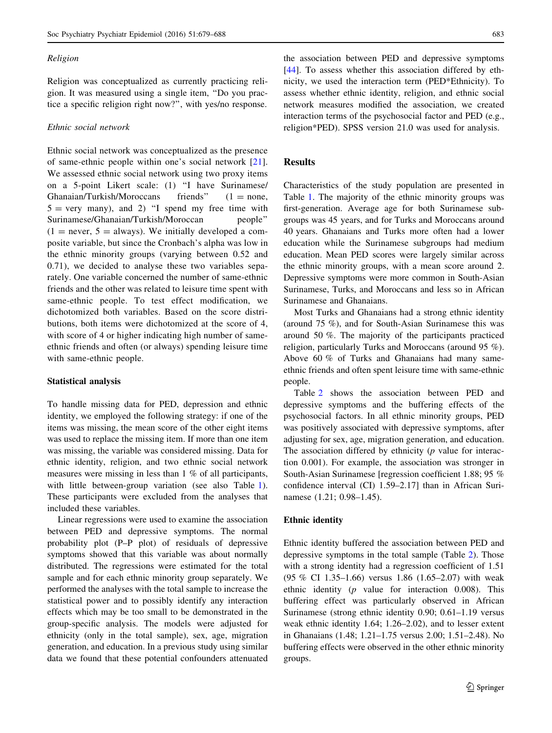## Religion

Religion was conceptualized as currently practicing religion. It was measured using a single item, ''Do you practice a specific religion right now?'', with yes/no response.

## Ethnic social network

Ethnic social network was conceptualized as the presence of same-ethnic people within one's social network [[21](#page-8-0)]. We assessed ethnic social network using two proxy items on a 5-point Likert scale: (1) ''I have Surinamese/ Ghanaian/Turkish/Moroccans friends"  $(1 = none,$  $5 = \text{very many}$ , and 2) "I spend my free time with Surinamese/Ghanaian/Turkish/Moroccan people''  $(1 =$  never,  $5 =$  always). We initially developed a composite variable, but since the Cronbach's alpha was low in the ethnic minority groups (varying between 0.52 and 0.71), we decided to analyse these two variables separately. One variable concerned the number of same-ethnic friends and the other was related to leisure time spent with same-ethnic people. To test effect modification, we dichotomized both variables. Based on the score distributions, both items were dichotomized at the score of 4, with score of 4 or higher indicating high number of sameethnic friends and often (or always) spending leisure time with same-ethnic people.

### Statistical analysis

To handle missing data for PED, depression and ethnic identity, we employed the following strategy: if one of the items was missing, the mean score of the other eight items was used to replace the missing item. If more than one item was missing, the variable was considered missing. Data for ethnic identity, religion, and two ethnic social network measures were missing in less than 1 % of all participants, with little between-group variation (see also Table [1](#page-5-0)). These participants were excluded from the analyses that included these variables.

Linear regressions were used to examine the association between PED and depressive symptoms. The normal probability plot (P–P plot) of residuals of depressive symptoms showed that this variable was about normally distributed. The regressions were estimated for the total sample and for each ethnic minority group separately. We performed the analyses with the total sample to increase the statistical power and to possibly identify any interaction effects which may be too small to be demonstrated in the group-specific analysis. The models were adjusted for ethnicity (only in the total sample), sex, age, migration generation, and education. In a previous study using similar data we found that these potential confounders attenuated

the association between PED and depressive symptoms [\[44](#page-9-0)]. To assess whether this association differed by ethnicity, we used the interaction term (PED\*Ethnicity). To assess whether ethnic identity, religion, and ethnic social network measures modified the association, we created interaction terms of the psychosocial factor and PED (e.g., religion\*PED). SPSS version 21.0 was used for analysis.

# Results

Characteristics of the study population are presented in Table [1](#page-5-0). The majority of the ethnic minority groups was first-generation. Average age for both Surinamese subgroups was 45 years, and for Turks and Moroccans around 40 years. Ghanaians and Turks more often had a lower education while the Surinamese subgroups had medium education. Mean PED scores were largely similar across the ethnic minority groups, with a mean score around 2. Depressive symptoms were more common in South-Asian Surinamese, Turks, and Moroccans and less so in African Surinamese and Ghanaians.

Most Turks and Ghanaians had a strong ethnic identity (around 75 %), and for South-Asian Surinamese this was around 50 %. The majority of the participants practiced religion, particularly Turks and Moroccans (around 95 %). Above 60 % of Turks and Ghanaians had many sameethnic friends and often spent leisure time with same-ethnic people.

Table [2](#page-6-0) shows the association between PED and depressive symptoms and the buffering effects of the psychosocial factors. In all ethnic minority groups, PED was positively associated with depressive symptoms, after adjusting for sex, age, migration generation, and education. The association differed by ethnicity  $(p \text{ value for interac--}$ tion 0.001). For example, the association was stronger in South-Asian Surinamese [regression coefficient 1.88; 95 % confidence interval (CI) 1.59–2.17] than in African Surinamese (1.21; 0.98–1.45).

## Ethnic identity

Ethnic identity buffered the association between PED and depressive symptoms in the total sample (Table [2\)](#page-6-0). Those with a strong identity had a regression coefficient of 1.51 (95 % CI 1.35–1.66) versus 1.86 (1.65–2.07) with weak ethnic identity (p value for interaction 0.008). This buffering effect was particularly observed in African Surinamese (strong ethnic identity 0.90; 0.61–1.19 versus weak ethnic identity 1.64; 1.26–2.02), and to lesser extent in Ghanaians (1.48; 1.21–1.75 versus 2.00; 1.51–2.48). No buffering effects were observed in the other ethnic minority groups.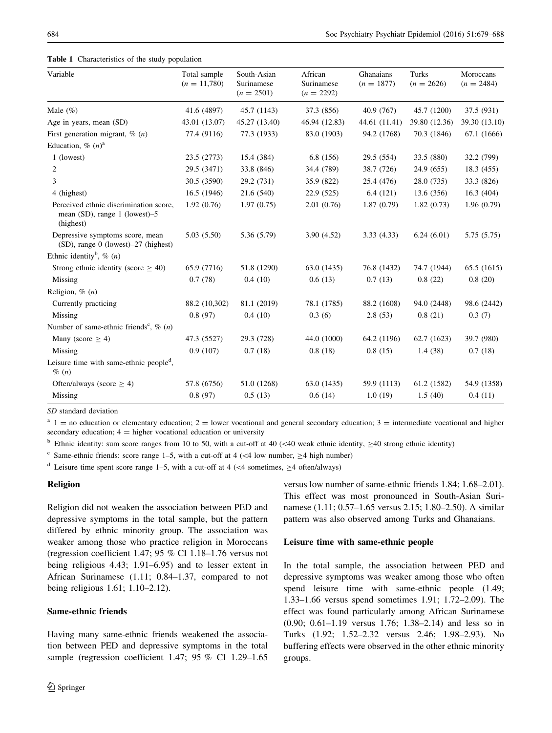<span id="page-5-0"></span>Table 1 Characteristics of the study population

| Variable                                                                                | Total sample<br>$(n = 11,780)$ | South-Asian<br>Surinamese<br>$(n = 2501)$ | African<br>Surinamese<br>$(n = 2292)$ | Ghanaians<br>$(n = 1877)$ | Turks<br>$(n = 2626)$ | Moroccans<br>$(n = 2484)$ |
|-----------------------------------------------------------------------------------------|--------------------------------|-------------------------------------------|---------------------------------------|---------------------------|-----------------------|---------------------------|
| Male $(\%)$                                                                             | 41.6 (4897)                    | 45.7 (1143)                               | 37.3 (856)                            | 40.9 (767)                | 45.7 (1200)           | 37.5 (931)                |
| Age in years, mean (SD)                                                                 | 43.01 (13.07)                  | 45.27 (13.40)                             | 46.94 (12.83)                         | 44.61 (11.41)             | 39.80 (12.36)         | 39.30 (13.10)             |
| First generation migrant, $\%$ (n)                                                      | 77.4 (9116)                    | 77.3 (1933)                               | 83.0 (1903)                           | 94.2 (1768)               | 70.3 (1846)           | 67.1 (1666)               |
| Education, % $(n)^a$                                                                    |                                |                                           |                                       |                           |                       |                           |
| 1 (lowest)                                                                              | 23.5 (2773)                    | 15.4 (384)                                | 6.8(156)                              | 29.5 (554)                | 33.5 (880)            | 32.2 (799)                |
| 2                                                                                       | 29.5 (3471)                    | 33.8 (846)                                | 34.4 (789)                            | 38.7 (726)                | 24.9(655)             | 18.3 (455)                |
| 3                                                                                       | 30.5 (3590)                    | 29.2 (731)                                | 35.9 (822)                            | 25.4 (476)                | 28.0(735)             | 33.3 (826)                |
| 4 (highest)                                                                             | 16.5(1946)                     | 21.6 (540)                                | 22.9(525)                             | 6.4(121)                  | 13.6(356)             | 16.3(404)                 |
| Perceived ethnic discrimination score,<br>mean $(SD)$ , range 1 (lowest)–5<br>(highest) | 1.92(0.76)                     | 1.97(0.75)                                | 2.01(0.76)                            | 1.87(0.79)                | 1.82(0.73)            | 1.96(0.79)                |
| Depressive symptoms score, mean<br>(SD), range 0 (lowest)-27 (highest)                  | 5.03(5.50)                     | 5.36 (5.79)                               | 3.90(4.52)                            | 3.33(4.33)                | 6.24(6.01)            | 5.75 (5.75)               |
| Ethnic identity <sup>b</sup> , $\%$ ( <i>n</i> )                                        |                                |                                           |                                       |                           |                       |                           |
| Strong ethnic identity (score $\geq$ 40)                                                | 65.9 (7716)                    | 51.8 (1290)                               | 63.0 (1435)                           | 76.8 (1432)               | 74.7 (1944)           | 65.5 (1615)               |
| Missing                                                                                 | 0.7(78)                        | 0.4(10)                                   | 0.6(13)                               | 0.7(13)                   | 0.8(22)               | 0.8(20)                   |
| Religion, $\%$ $(n)$                                                                    |                                |                                           |                                       |                           |                       |                           |
| Currently practicing                                                                    | 88.2 (10,302)                  | 81.1 (2019)                               | 78.1 (1785)                           | 88.2 (1608)               | 94.0 (2448)           | 98.6 (2442)               |
| Missing                                                                                 | 0.8(97)                        | 0.4(10)                                   | 0.3(6)                                | 2.8(53)                   | 0.8(21)               | 0.3(7)                    |
| Number of same-ethnic friends <sup>c</sup> , $\%$ (n)                                   |                                |                                           |                                       |                           |                       |                           |
| Many (score $\geq$ 4)                                                                   | 47.3 (5527)                    | 29.3 (728)                                | 44.0 (1000)                           | 64.2 (1196)               | 62.7(1623)            | 39.7 (980)                |
| Missing                                                                                 | 0.9(107)                       | 0.7(18)                                   | 0.8(18)                               | 0.8(15)                   | 1.4(38)               | 0.7(18)                   |
| Leisure time with same-ethnic people <sup>d</sup> ,<br>$\%$ $(n)$                       |                                |                                           |                                       |                           |                       |                           |
| Often/always (score $\geq$ 4)                                                           | 57.8 (6756)                    | 51.0 (1268)                               | 63.0 (1435)                           | 59.9 (1113)               | 61.2 (1582)           | 54.9 (1358)               |
| Missing                                                                                 | 0.8(97)                        | 0.5(13)                                   | 0.6(14)                               | 1.0(19)                   | 1.5(40)               | 0.4(11)                   |

SD standard deviation

 $a<sup>a</sup>$  1 = no education or elementary education; 2 = lower vocational and general secondary education; 3 = intermediate vocational and higher secondary education;  $4 =$  higher vocational education or university

<sup>b</sup> Ethnic identity: sum score ranges from 10 to 50, with a cut-off at 40 ( $\lt$ 40 weak ethnic identity,  $\geq$ 40 strong ethnic identity)

Same-ethnic friends: score range 1–5, with a cut-off at 4 ( $\lt$  4 low number,  $\geq$  4 high number)

<sup>d</sup> Leisure time spent score range 1–5, with a cut-off at 4 ( $\lt$ 4 sometimes, >4 often/always)

## Religion

Religion did not weaken the association between PED and depressive symptoms in the total sample, but the pattern differed by ethnic minority group. The association was weaker among those who practice religion in Moroccans (regression coefficient 1.47; 95 % CI 1.18–1.76 versus not being religious 4.43; 1.91–6.95) and to lesser extent in African Surinamese (1.11; 0.84–1.37, compared to not being religious 1.61; 1.10–2.12).

# Same-ethnic friends

Having many same-ethnic friends weakened the association between PED and depressive symptoms in the total sample (regression coefficient 1.47; 95 % CI 1.29-1.65 versus low number of same-ethnic friends 1.84; 1.68–2.01). This effect was most pronounced in South-Asian Surinamese (1.11; 0.57–1.65 versus 2.15; 1.80–2.50). A similar pattern was also observed among Turks and Ghanaians.

## Leisure time with same-ethnic people

In the total sample, the association between PED and depressive symptoms was weaker among those who often spend leisure time with same-ethnic people (1.49; 1.33–1.66 versus spend sometimes 1.91; 1.72–2.09). The effect was found particularly among African Surinamese (0.90; 0.61–1.19 versus 1.76; 1.38–2.14) and less so in Turks (1.92; 1.52–2.32 versus 2.46; 1.98–2.93). No buffering effects were observed in the other ethnic minority groups.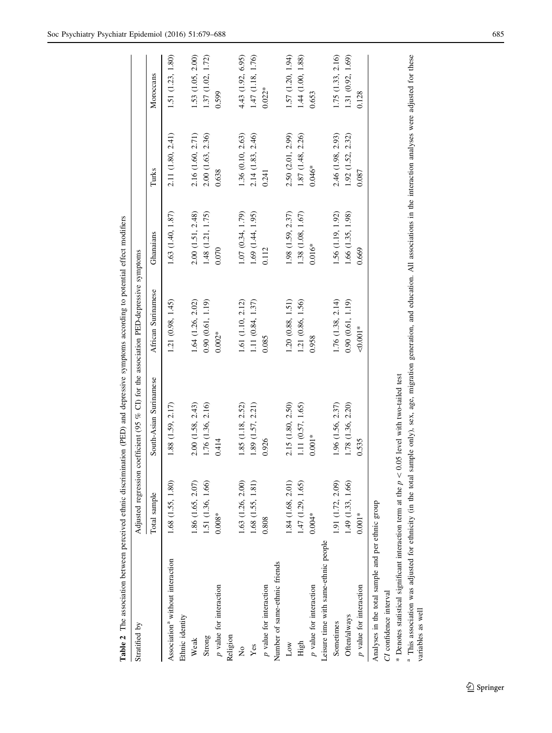|                                                                                                 |                   |                                                                                       | $\frac{1}{2}$      |                       |                   |                   |
|-------------------------------------------------------------------------------------------------|-------------------|---------------------------------------------------------------------------------------|--------------------|-----------------------|-------------------|-------------------|
| Stratified by                                                                                   |                   | Adjusted regression coefficient (95 % CI) for the association PED-depressive symptoms |                    |                       |                   |                   |
|                                                                                                 | Total sample      | South-Asian Surinamese                                                                | African Surinamese | Ghanaians             | Turks             | Moroccans         |
| Association <sup>ª</sup> without interaction<br>Ethnic identity                                 | 1.68 (1.55, 1.80) | 1.88 (1.59, 2.17)                                                                     | 1.21 (0.98, 1.45)  | 1.63 (1.40, 1.87)     | 2.11 (1.80, 2.41) | 1.51 (1.23, 1.80) |
| Weak                                                                                            | 1.86 (1.65, 2.07) | 2.00 (1.58, 2.43)                                                                     | 1.64 (1.26, 2.02)  | 2.00 (1.51, 2.48)     | 2.16 (1.60, 2.71) | 1.53 (1.05, 2.00) |
| Strong                                                                                          | 1.51 (1.36, 1.66) | 1.76 (1.36, 2.16)                                                                     | 0.90(0.61, 1.19)   | 1.48 (1.21, 1.75)     | 2.00 (1.63, 2.36) | 1.37 (1.02, 1.72) |
| p value for interaction                                                                         | $0.008*$          | 0.414                                                                                 | $0.002*$           | 0.070                 | 0.638             | 0.599             |
| Religion                                                                                        |                   |                                                                                       |                    |                       |                   |                   |
| $\frac{1}{2}$                                                                                   | 1.63 (1.26, 2.00) | 1.85 (1.18, 2.52)                                                                     | 1.61 (1.10, 2.12)  | 1.07 (0.34, 1.79)     | 1.36 (0.10, 2.63) | 4.43 (1.92, 6.95) |
| Yes                                                                                             | 1.68 (1.55, 1.81) | 1.89 (1.57, 2.21)                                                                     | 1.11 (0.84, 1.37)  | 1.69 (1.44, 1.95)     | 2.14 (1.83, 2.46) | 1.47 (1.18, 1.76) |
| p value for interaction                                                                         | 0.808             | 0.926                                                                                 | 0.085              | 0.112                 | 0.241             | $0.022*$          |
| Number of same-ethnic friends                                                                   |                   |                                                                                       |                    |                       |                   |                   |
| Low                                                                                             | 1.84(1.68, 2.01)  | 2.15 (1.80, 2.50)                                                                     | 1.20(0.88, 1.51)   | 1.98 (1.59, 2.37)     | 2.50 (2.01, 2.99) | 1.57 (1.20, 1.94) |
| High                                                                                            | 1.47(1.29, 1.65)  | 1.11 (0.57, 1.65)                                                                     | 1.21 (0.86, 1.56)  | $1.38\ (1.08,\ 1.67)$ | 1.87 (1.48, 2.26) | 1.44(1.00, 1.88)  |
| p value for interaction                                                                         | $0.004*$          | $0.001*$                                                                              | 0.958              | $0.016*$              | $0.046*$          | 0.653             |
| Leisure time with same-ethnic people                                                            |                   |                                                                                       |                    |                       |                   |                   |
| Sometimes                                                                                       | 1.91 (1.72, 2.09) | 1.96 (1.56, 2.37)                                                                     | 1.76 (1.38, 2.14)  | 1.56 (1.19, 1.92)     | 2.46 (1.98, 2.93) | 1.75 (1.33, 2.16) |
| Often/always                                                                                    | 1.49 (1.33, 1.66) | 1.78 (1.36, 2.20)                                                                     | 0.90(0.61, 1.19)   | 1.66 (1.35, 1.98)     | 1.92 (1.52, 2.32) | 1.31 (0.92, 1.69) |
| p value for interaction                                                                         | $0.001*$          | 0.535                                                                                 | $0.001*$           | 0.669                 | 0.087             | 0.128             |
| Analyses in the total sample and per ethnic group                                               |                   |                                                                                       |                    |                       |                   |                   |
| CI confidence interval                                                                          |                   |                                                                                       |                    |                       |                   |                   |
| * Denotes statistical significant interaction term at the $p < 0.05$ level with two-tailed test |                   |                                                                                       |                    |                       |                   |                   |

Table 2. The association between perceived ethnic discrimination (PED) and depressive symptoms according to potential effect modifiers Table 2 The association between perceived ethnic discrimination (PED) and depressive symptoms according to potential effect modifiers

<span id="page-6-0"></span>Soc Psychiatry Psychiatr Epidemiol (2016) 51:679–688 685

<sup>a</sup> This association was adjusted for ethnicity (in the total sample only), sex, age, migration generation, and education. All associations in the interaction analyses were adjusted for these variables as well <sup>a</sup> This association was adjusted for ethnicity (in the total sample only), sex, age, migration generation, and education. All associations in the interaction analyses were adjusted for these

variables as well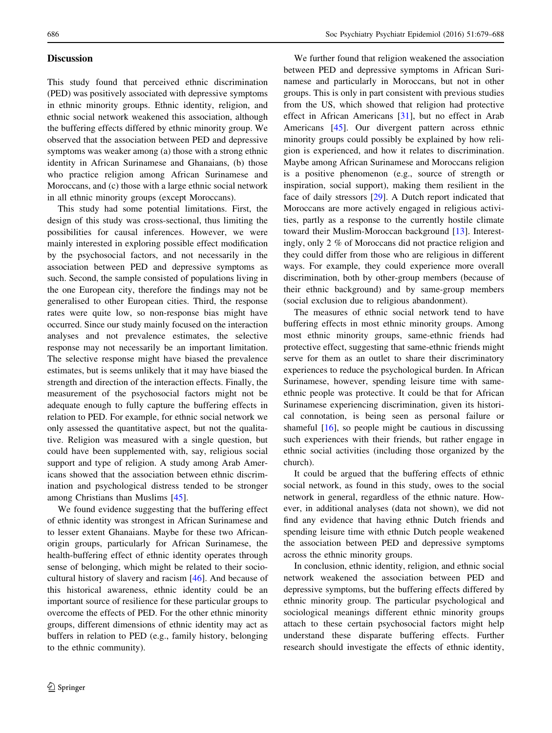# **Discussion**

This study found that perceived ethnic discrimination (PED) was positively associated with depressive symptoms in ethnic minority groups. Ethnic identity, religion, and ethnic social network weakened this association, although the buffering effects differed by ethnic minority group. We observed that the association between PED and depressive symptoms was weaker among (a) those with a strong ethnic identity in African Surinamese and Ghanaians, (b) those who practice religion among African Surinamese and Moroccans, and (c) those with a large ethnic social network in all ethnic minority groups (except Moroccans).

This study had some potential limitations. First, the design of this study was cross-sectional, thus limiting the possibilities for causal inferences. However, we were mainly interested in exploring possible effect modification by the psychosocial factors, and not necessarily in the association between PED and depressive symptoms as such. Second, the sample consisted of populations living in the one European city, therefore the findings may not be generalised to other European cities. Third, the response rates were quite low, so non-response bias might have occurred. Since our study mainly focused on the interaction analyses and not prevalence estimates, the selective response may not necessarily be an important limitation. The selective response might have biased the prevalence estimates, but is seems unlikely that it may have biased the strength and direction of the interaction effects. Finally, the measurement of the psychosocial factors might not be adequate enough to fully capture the buffering effects in relation to PED. For example, for ethnic social network we only assessed the quantitative aspect, but not the qualitative. Religion was measured with a single question, but could have been supplemented with, say, religious social support and type of religion. A study among Arab Americans showed that the association between ethnic discrimination and psychological distress tended to be stronger among Christians than Muslims [[45\]](#page-9-0).

We found evidence suggesting that the buffering effect of ethnic identity was strongest in African Surinamese and to lesser extent Ghanaians. Maybe for these two Africanorigin groups, particularly for African Surinamese, the health-buffering effect of ethnic identity operates through sense of belonging, which might be related to their sociocultural history of slavery and racism [[46\]](#page-9-0). And because of this historical awareness, ethnic identity could be an important source of resilience for these particular groups to overcome the effects of PED. For the other ethnic minority groups, different dimensions of ethnic identity may act as buffers in relation to PED (e.g., family history, belonging to the ethnic community).

We further found that religion weakened the association between PED and depressive symptoms in African Surinamese and particularly in Moroccans, but not in other groups. This is only in part consistent with previous studies from the US, which showed that religion had protective effect in African Americans [\[31](#page-9-0)], but no effect in Arab Americans [\[45](#page-9-0)]. Our divergent pattern across ethnic minority groups could possibly be explained by how religion is experienced, and how it relates to discrimination. Maybe among African Surinamese and Moroccans religion is a positive phenomenon (e.g., source of strength or inspiration, social support), making them resilient in the face of daily stressors [\[29](#page-9-0)]. A Dutch report indicated that Moroccans are more actively engaged in religious activities, partly as a response to the currently hostile climate toward their Muslim-Moroccan background [[13\]](#page-8-0). Interestingly, only 2 % of Moroccans did not practice religion and they could differ from those who are religious in different ways. For example, they could experience more overall discrimination, both by other-group members (because of their ethnic background) and by same-group members (social exclusion due to religious abandonment).

The measures of ethnic social network tend to have buffering effects in most ethnic minority groups. Among most ethnic minority groups, same-ethnic friends had protective effect, suggesting that same-ethnic friends might serve for them as an outlet to share their discriminatory experiences to reduce the psychological burden. In African Surinamese, however, spending leisure time with sameethnic people was protective. It could be that for African Surinamese experiencing discrimination, given its historical connotation, is being seen as personal failure or shameful [\[16](#page-8-0)], so people might be cautious in discussing such experiences with their friends, but rather engage in ethnic social activities (including those organized by the church).

It could be argued that the buffering effects of ethnic social network, as found in this study, owes to the social network in general, regardless of the ethnic nature. However, in additional analyses (data not shown), we did not find any evidence that having ethnic Dutch friends and spending leisure time with ethnic Dutch people weakened the association between PED and depressive symptoms across the ethnic minority groups.

In conclusion, ethnic identity, religion, and ethnic social network weakened the association between PED and depressive symptoms, but the buffering effects differed by ethnic minority group. The particular psychological and sociological meanings different ethnic minority groups attach to these certain psychosocial factors might help understand these disparate buffering effects. Further research should investigate the effects of ethnic identity,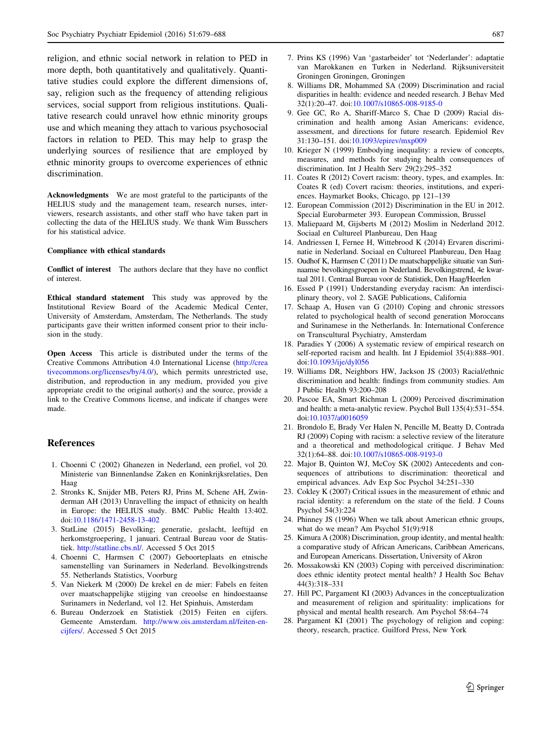<span id="page-8-0"></span>religion, and ethnic social network in relation to PED in more depth, both quantitatively and qualitatively. Quantitative studies could explore the different dimensions of, say, religion such as the frequency of attending religious services, social support from religious institutions. Qualitative research could unravel how ethnic minority groups use and which meaning they attach to various psychosocial factors in relation to PED. This may help to grasp the underlying sources of resilience that are employed by ethnic minority groups to overcome experiences of ethnic discrimination.

Acknowledgments We are most grateful to the participants of the HELIUS study and the management team, research nurses, interviewers, research assistants, and other staff who have taken part in collecting the data of the HELIUS study. We thank Wim Busschers for his statistical advice.

#### Compliance with ethical standards

Conflict of interest The authors declare that they have no conflict of interest.

Ethical standard statement This study was approved by the Institutional Review Board of the Academic Medical Center, University of Amsterdam, Amsterdam, The Netherlands. The study participants gave their written informed consent prior to their inclusion in the study.

Open Access This article is distributed under the terms of the Creative Commons Attribution 4.0 International License ([http://crea](http://creativecommons.org/licenses/by/4.0/) [tivecommons.org/licenses/by/4.0/\)](http://creativecommons.org/licenses/by/4.0/), which permits unrestricted use, distribution, and reproduction in any medium, provided you give appropriate credit to the original author(s) and the source, provide a link to the Creative Commons license, and indicate if changes were made.

### References

- 1. Choenni C (2002) Ghanezen in Nederland, een profiel, vol 20. Ministerie van Binnenlandse Zaken en Koninkrijksrelaties, Den Haag
- 2. Stronks K, Snijder MB, Peters RJ, Prins M, Schene AH, Zwinderman AH (2013) Unravelling the impact of ethnicity on health in Europe: the HELIUS study. BMC Public Health 13:402. doi:[10.1186/1471-2458-13-402](http://dx.doi.org/10.1186/1471-2458-13-402)
- 3. StatLine (2015) Bevolking; generatie, geslacht, leeftijd en herkomstgroepering, 1 januari. Centraal Bureau voor de Statistiek. [http://statline.cbs.nl/.](http://statline.cbs.nl/) Accessed 5 Oct 2015
- 4. Choenni C, Harmsen C (2007) Geboorteplaats en etnische samenstelling van Surinamers in Nederland. Bevolkingstrends 55. Netherlands Statistics, Voorburg
- 5. Van Niekerk M (2000) De krekel en de mier: Fabels en feiten over maatschappelijke stijging van creoolse en hindoestaanse Surinamers in Nederland, vol 12. Het Spinhuis, Amsterdam
- 6. Bureau Onderzoek en Statistiek (2015) Feiten en cijfers. Gemeente Amsterdam. [http://www.ois.amsterdam.nl/feiten-en](http://www.ois.amsterdam.nl/feiten-en-cijfers/)[cijfers/](http://www.ois.amsterdam.nl/feiten-en-cijfers/). Accessed 5 Oct 2015
- 7. Prins KS (1996) Van 'gastarbeider' tot 'Nederlander': adaptatie van Marokkanen en Turken in Nederland. Rijksuniversiteit Groningen Groningen, Groningen
- 8. Williams DR, Mohammed SA (2009) Discrimination and racial disparities in health: evidence and needed research. J Behav Med 32(1):20–47. doi:[10.1007/s10865-008-9185-0](http://dx.doi.org/10.1007/s10865-008-9185-0)
- 9. Gee GC, Ro A, Shariff-Marco S, Chae D (2009) Racial discrimination and health among Asian Americans: evidence, assessment, and directions for future research. Epidemiol Rev 31:130–151. doi[:10.1093/epirev/mxp009](http://dx.doi.org/10.1093/epirev/mxp009)
- 10. Krieger N (1999) Embodying inequality: a review of concepts, measures, and methods for studying health consequences of discrimination. Int J Health Serv 29(2):295–352
- 11. Coates R (2012) Covert racism: theory, types, and examples. In: Coates R (ed) Covert racism: theories, institutions, and experiences. Haymarket Books, Chicago, pp 121–139
- 12. European Commission (2012) Discrimination in the EU in 2012. Special Eurobarmeter 393. European Commission, Brussel
- 13. Maliepaard M, Gijsberts M (2012) Moslim in Nederland 2012. Sociaal en Cultureel Planbureau, Den Haag
- 14. Andriessen I, Fernee H, Wittebrood K (2014) Ervaren discriminatie in Nederland. Sociaal en Cultureel Planbureau, Den Haag
- 15. Oudhof K, Harmsen C (2011) De maatschappelijke situatie van Surinaamse bevolkingsgroepen in Nederland. Bevolkingstrend, 4e kwartaal 2011. Centraal Bureau voor de Statistiek, Den Haag/Heerlen
- 16. Essed P (1991) Understanding everyday racism: An interdisciplinary theory, vol 2. SAGE Publications, California
- 17. Schaap A, Husen van G (2010) Coping and chronic stressors related to psychological health of second generation Moroccans and Surinamese in the Netherlands. In: International Conference on Transcultural Psychiatry, Amsterdam
- 18. Paradies Y (2006) A systematic review of empirical research on self-reported racism and health. Int J Epidemiol 35(4):888–901. doi:[10.1093/ije/dyl056](http://dx.doi.org/10.1093/ije/dyl056)
- 19. Williams DR, Neighbors HW, Jackson JS (2003) Racial/ethnic discrimination and health: findings from community studies. Am J Public Health 93:200–208
- 20. Pascoe EA, Smart Richman L (2009) Perceived discrimination and health: a meta-analytic review. Psychol Bull 135(4):531–554. doi:[10.1037/a0016059](http://dx.doi.org/10.1037/a0016059)
- 21. Brondolo E, Brady Ver Halen N, Pencille M, Beatty D, Contrada RJ (2009) Coping with racism: a selective review of the literature and a theoretical and methodological critique. J Behav Med 32(1):64–88. doi:[10.1007/s10865-008-9193-0](http://dx.doi.org/10.1007/s10865-008-9193-0)
- 22. Major B, Quinton WJ, McCoy SK (2002) Antecedents and consequences of attributions to discrimination: theoretical and empirical advances. Adv Exp Soc Psychol 34:251–330
- 23. Cokley K (2007) Critical issues in the measurement of ethnic and racial identity: a referendum on the state of the field. J Couns Psychol 54(3):224
- 24. Phinney JS (1996) When we talk about American ethnic groups, what do we mean? Am Psychol 51(9):918
- 25. Kimura A (2008) Discrimination, group identity, and mental health: a comparative study of African Americans, Caribbean Americans, and European Americans. Dissertation, University of Akron
- 26. Mossakowski KN (2003) Coping with perceived discrimination: does ethnic identity protect mental health? J Health Soc Behav 44(3):318–331
- 27. Hill PC, Pargament KI (2003) Advances in the conceptualization and measurement of religion and spirituality: implications for physical and mental health research. Am Psychol 58:64–74
- 28. Pargament KI (2001) The psychology of religion and coping: theory, research, practice. Guilford Press, New York